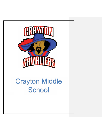

# Crayton Middle **School**

 $1$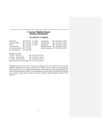# Crayton Middle School Student Handbook

# TELEPHONE NUMBERS

| Main Office                        | 803-738-7224 ext. 44100 | Angela Burns  | 803-738-7224 ext. 44109                   |
|------------------------------------|-------------------------|---------------|-------------------------------------------|
| Attendance Office                  | 803-738-7224 ext. 44102 | Amanda Arflin | 803-738-7224 ext. 44129                   |
| <b>Nurse</b>                       | 803-738-7224 ext. 44103 | Brian Blease  | 803-738-7224 ext. 44224                   |
| Fax-Main Office                    | 803-738-7901            |               | Kendrick Cleckley 803-738-7224 ext. 44122 |
| Fax-Attendance Office 803-738-7990 |                         |               | Prince Brewington 803-738-7224 ext. 44134 |
| Bus Transportation 803-695-5499    |                         |               |                                           |

| Guidance Counselors |
|---------------------|
|---------------------|

| $6th$ Grade – Cheryl Nix                                | 803-738-7224 ext. 44114 |
|---------------------------------------------------------|-------------------------|
| $7th$ Grade – Amleht Alston                             | 803-738-7224 ext. 44110 |
| 8 <sup>th</sup> Grade – Donna Moultrie                  | 803-738-7224 ext. 44112 |
| Special Programs–Austin Coleman 803-738-7224 ext. 44116 |                         |

 Throughout the school year, there can and may be changes made to the information in this student handbook. Students will be notified of changes. Every attempt will also be made to notify parents, but changes may take place even without parent notification. This handbook provides general information but may not include all possible situations. The administration reserves the right to use professional judgment in any situation. Please make sure that your student is familiar with the information outlined in this document.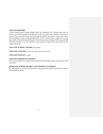#### CRAYTON HISTORY

Crayton, formerly known as Jackson Heights School, was established in 1951. During its early years, the school served students in grades first through sixth. In 1952, the school's name changed to Crayton School in honor of Lizeve and Nan Crayton, former Richland School District One teachers. In later years, Crayton School expanded to include seventh and eighth grades. In 1976, Crayton became a middle school, serving only students in the sixth through eighth grades. Since moving to the new building in 2004, Crayton Middle School has continued to serve the community and committed to giving the best, expecting the best and simply being the best.

# CRAYTON SCHOOL COLORS: Red and Blue

CRAYTON TAGLINE: Give the best! Expect the best! Be the best!

# CRAYTON MASCOT: Cavalier

# CRAYTON MISSION STATEMENT

We are Crayton Middle where high expectations and positive relationships increase the achievement of all stakeholders.

#### RICHLAND SCHOOL DISTRICT ONE MISSION STATEMENT

We are Richland One, a leader in transforming lives through education, empowering all students to achieve their potential and dreams.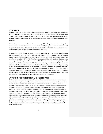# **ATHLETICS**

Athletics at Crayton are designed to offer opportunities for exploring, developing, and widening the student's range of interest, and to help the student develop leadership skills. Participation in extracurricular activities also enables the student to improve his or her ability to plan and work with others toward a common interest or purpose and in the practical application of ideas and information gained in the classroom.

The faculty sponsor or coach will determine appropriate guidelines for participation in an activity. To be involved in athletics, a student must achieve and maintain a 2.0 grade point average. Please see the coach or sponsor for more details. If a student is absent for more than half of the school day, he or she will not be allowed to participate in any school-sponsored activities on that day.

Crayton offers eligible 7th and 8th grade students the opportunity to try out for the following sports: football, volleyball, track, cheerleading, and basketball. 6th grade students may participate in track only. 7th and 8th grade students may also try out for athletic teams at A.C. Flora High School if Crayton does not offer the sport. Call 803-738-7300 for information about A.C. Flora athletics. To be eligible to tryout or participate in athletics, the student must have a 2.0 GPA for the semester preceding the tryouts. The student must maintain the 2.0 at the end of the 1st semester if that sport continues into the 2nd semester. In addition, each athlete must have a current Richland One physical that clears the student to try out and play sports. The physical must be dated by the physician on or after April 1st of the spring preceding the school year of participation. All other forms must be completed on Planet HS. This website can be accessed through Crayton's Homepage. In addition, each athlete MUST pay athletic insurance through the athletic department. This is different from the general school insurance. This insurance is also required even if the parent carries insurance on the child. Please see the coach for more details.

# ATTENDANCE INFORMATION AND PROCEDURES

Student attendance is essential to student achievement. Students must be present in class to receive the instruction necessary to learn. Students should not accumulate more than 10 lawful or unlawful absences in a school year. When a student misses three (3) consecutive unexcused days in a row or five (5) cumulative unexcused days during a school year, the parents will be asked to meet with the Attendance Committee to develop an Attendance Improvement Plan. If the student continues to be absent from school, the attendance laws require the school to complete a petition which may require the student and parent to appear in family court. In cases of absence due to prolonged illness, hospitalization, serious car accident, etc., the student may request a waiver of the excessive absences by making an appeal to the school attendance committee. In accordance with school board policy, the school attendance committee will be responsible for approving or not approving excessive absences. Homebound instruction and school-sponsored trips are non-counting absences for credit purposes. However, all other absences (excused or unexcused) may result in referral to family court and/or denial of credit unless approved by the attendance committee. Students enrolled in high school credit courses must be present for 120 hours to receive credit.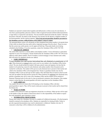Students are expected to attend school regularly and shall present a written excuse for each absence. A note from a parent/guardian, physician, dentist or other recognized licensed/certified medical practitioner, or legal officer is required for each absence. The note should be dated and include the student's full name, the parent's full name, the date(s) of the absence(s), the reason(s) for the absences, telephone number of the parent/guardian, and the required signature. Notes from parents/guardians should be presented to the attendance secretary within 48 hours of the student's return to school.

The automated phone system will call parents on their designated home phone number to let parents know if their child was absent from class and to deliver important messages from the school. Please be aware that this system may notify parents even for approved field trips. Please plan family travel during scheduled school holidays. If you have questions, contact the Attendance Office at 803-738-7250.

#### CHANGE OF ADDRESS

The school office must have a current address and telephone number. Correct information is particularly important in cases of an emergency. Parents should notify the Attendance Office at 803-738-7250 of new addresses and/or phone numbers. Proof of residency (current mortgage or lease statement and a utility bill) will need to be submitted with the new address.

#### EARLY DISMISSALS

To meet attendance laws and to protect instructional time early dismissals are granted prior to 3:15 only. When dismissals are planned, please send a note by your student to the Attendance Office before school. The note should include the student's full name, parent's name and signature, the time that the student is to be picked up, reason for early dismissal, and a phone number where the parent can be reached for verification. The student will be given an early dismissal note to present to their teacher and called to the Attendance Office at the designated time. Parents or guardians should come into the Attendance Office to pick up and sign out their student. Only individuals that are listed in school records may pick up students and must present a picture ID. When situations for **unplanned** early dismissals arise, parents or guardians may call or come to the Attendance Office and the student will be notified of dismissal. Dismissal notes for the end of a class are preferred to minimize class disruption. If the student returns to school that day, the parent/guardian will need to sign them in at the Attendance Office.

#### LATE ARRIVALS

Any student who arrives to school after 8:40 should go to the Attendance Office with their parent/guardian to sign in. They will be issued a tardy pass to present to their teacher and be cleared from the absence list.

#### MAKE UP WORK

A student will be allowed to make up assignments missed due to an absence. Make-up time will be equal to the number of days the student is absent from school. It is the responsibility of the student to request the work immediately upon returning to school.

#### WITHDRAWING FROM SCHOOL

Parents must contact the Attendance Secretary to complete all withdrawal documents. All school property should be returned to the attendance office. Students are responsible for clearing all debts. Failure to provide requested documentation may result in administrative withdrawal. Students who miss 10 consecutive school days will be withdrawn by the administration.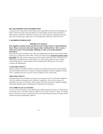# BUS TRANSPORTATION INFORMATION

A school bus driver represents the school authority and is responsible for the safety of the passengers on the bus. The driver has supervision and authority over the passengers and must require passengers to follow behavior expectations. Misbehavior on the bus may result in detention, suspension from school, and/or loss of the privilege of riding a bus. For bus transportation information, call 803-695-5505.

# CAR RIDER INFORMATION

# IMPORTANT NOTICE:

## Our neighbors ask that you do not park in front of their homes at school dismissal times. Please use the car rider pick up procedures outlined below. There is also a video on Crayton's Facebook page outlining car rider arrival and dismissal procedures.

Parents should not pick up students in any of the areas/neighborhoods around the school. General student supervision is available from 8AM to 4PM. To help ensure student safety, all students should be picked up by 4PM unless other specific arrangements have been made for adult supervision. All students are to be picked up in designated areas on school property. For safety reasons, parents are not to exit their vehicles during pick up. Transfer students who are not picked up by 4PM may have their transfer revoked by the administration.

#### CAFETERIA POLICY

Students wishing to eat breakfast should come directly to the cafeteria upon arrival to school. Richland One offers breakfast and lunch at no charge to all students through the Community Eligibility Provision (CEP). Guardians do not have to take any action for students to receive school meals.

#### CHEATING POLICY

Cheating includes, but is not limited to, giving and/or receiving answers for any schoolwork. Plagiarism is not only considered cheating, but also a violation of copyright law. The use of any resources not permitted by the teacher is not allowed. The first offense will result in the teacher completing a guidance referral and contacting a parent. Administration will determine the consequences.

#### CO-CURRICULAR ACTIVITIES

A variety of clubs and activities will be offered based on student and sponsor interests. No school group or club meeting may be announced without the approval of the faculty member in charge. No meeting, practice, decoration, clean up, or other group activity will be held without the presence of an adult. Off-site celebrations must have administrative approval.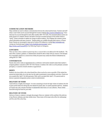# COMMUNICATION METHODS

Many methods are used to enhance communication between the school and the home. Teachers and staff utilize e-mail which can be accessed through the Crayton webpage http://crayton.richlandone.org. Voice mail may be accessed through the main office number (803-738-7224). The automated phone system can notify parents of a student's absence and deliver brief pre-recorded messages to the number listed as "home." Please remember to update any change in phone numbers. The webpage also contains current school information and many resources. Student grades are available through grade reports, or Parent Portal. Parents are encouraged to sign up for Cratyon PTO eBlasts by visiting http://craytonpto.org/, visiting our Facebook page at https://www.facebook.com/craytonpto and at https://twitter.com/CraytonPTO or by following Crayton on Instagram.

#### **CONCERNS**

There are times when a student or parent may have a concern that is not addressed in this handbook. The main office, teachers, guidance, or administrators should be able to help with any concern. If all attempts for a reasonable solution to a concern have failed, the parent may contact the District Ombudsman by calling 803-231-7000.

#### **CONFERENCES**

Parents who wish to make an appointment for a conference with teachers should contact their student's assigned guidance counselor at 803-738-7224. Parents or students who wish to see the principal, assistant principals, or counselors should schedule an appointment.

#### **DEBTS**

Students who incur debts to the school should have them resolved as soon as possible. If the student has unresolved school debts, he or she may lose the right to participate in non-academic activities. Checks are not accepted after April 1 for debt payments. Only cash is accepted after April 1. If a parent needs to discuss a payment arrangement, please contact an administrator.

# DELIVERY OF FOOD

Lunch delivery is highly discouraged. It is time consuming to locate the high volume of students who fail to pick up their deliveries during the time allotted for lunch; thus, we cannot guarantee delivery. Students at Crayton may only consume food that was prepared in their home or in our cafeteria. Please refrain from delivering fast food for your child.

# DELIVERY OF ITEMS

Delivery of items to students is strongly discouraged. However, students will be notified of the delivery of any flowers, balloons, and other similar items. These items will be kept in the office for safekeeping until the end of the school day.

Commented [AA1]: Do we like "prepared"?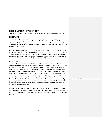### DIGITAL LEARNING ENVIRONMENT

Students will be issued a school laptop to be used exclusively for Crayton educational purposes only.

#### DISCIPLINE

The district will provide a Code of Conduct book for each student. Every student and parent are responsible for knowing the school and district rules. The Code of Conduct book will be reviewed with each student at the beginning of the school year. Any act which disrupts the educational process of the school may be punished according to its nature and degree of severity at the discretion of the principal or her designee.

It is expected that all students will behave in an appropriate manner at school. In the classroom, teachers may use a variety of behavior modification techniques, such as verbal reprimand or lunch detentions. In addition, teachers will attempt to have the parents involved with any behavior concerns. If necessary, teachers may refer students to an administrator. The administrator may use any of the consequences as designated in the Richland School District One Student Code of Conduct.

#### DRESS CODE

A student's dress and appearance should not be such that it causes disruption, is immodest, distracts others from the educational process, or creates a health or safety problem. Students are expected to dress in a way that is appropriate for a positive learning environment. Generally, the following guidelines will be followed: the entire lower edge of shorts/skorts/skirts should be no shorter than the pinky finger with the arms fully extended downward. Clothing should fit (not too tight, not too baggy) with all pants being worn at or above the hips (no sagging). The back, stomach, and undergarments should be fully covered, and cleavage should not be visible. Sleeveless shirts may be worn but tank tops/spaghetti straps should not be worn. Hats are not allowed on campus. Hoods should not be worn in the building. Bandanas, handkerchiefs, and headgear are not allowed. Two-inch solid color headbands with no logo or pattern are permissible. Examples of inappropriate dress include dresses/skirts/tights that are too tight, baggy pants, shorts with cuts in the side with the cuts not meeting the fingertip rule, bedroom slippers, pajamas, see-through garments, etc.

Any attire that the administration deems unsafe, distracting, or detrimental to the learning environment will be considered inappropriate. Students may be placed in In-School-Suspension at any time during the day if they do not meet the dress code policy. Each student is responsible for knowing and following the dress code.

**Commented [AA2]:** Sentence about hoods/hoodies?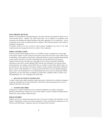## ELECTRONIC DEVICES

Students are issued laptops for educational purposes. The school will not be responsible for broken, lost, or stolen personal devices. Students who violate board policy will be subjected to disciplinary action according to the Richland One Student Discipline Code and/or applicable civil or criminal laws. The use of electronic devices to take or distribute pictures of students or staff without permission will be subject to disciplinary consequences.

Cell phones should not be seen or heard on school grounds. Headphones may only be worn while completing classroom assignments that involve audio or video components.

#### FERPA NOTIFICATION

Under the Family Education Rights and Privacy Act (FERPA), parents or guardians have certain rights involving their student's records. Parents have the right to look at and review these records within 45 days of submitting a written request to the principal. Among other things, if a parent or guardian finds anything in these records, they believe to be false or misleading, they may ask that the items of concern be changed. Parents also have the right to give their approval for the release of personally identifiable information in their child's records, although FERPA permits some information to be released without parent permission. For example, a school official may see a student's records if those official needs to, as part of his/her job. Also, the district will release a student's records to another school district, without the parent's consent, if that child plans to or is trying to enroll in that district. For more detailed information, please contact a school administrator. If you think Richland One has not acted as it should under FERPA requirements, you may send a letter of complaint to: Family Policy Compliance Office, US Dept. of Ed., 600 Independence Ave., S.W. Washington, DC 20202-4605.

#### RELEASE OF STUDENT INFORMATION

A student's name, grade, address and phone number and school in which he/she is enrolled are designated as directory information by the school board policy. DSS and law enforcement agencies have access to additional information when needed.

# • STUDENT RECORDS

Information in a student's permanent record is considered confidential in accordance with federal guidelines and board policy. Parents have access to their student's records as outlined in Richland School District One's policy entitled "Student Records."

#### FIELD STUDIES

Students must turn in a signed parent permission form to the person in charge of the field study. It is the student's responsibility to make up all missed assignments. Crayton school behavior guidelines are to be followed on all field studies. Chaperones must have been approved by the district.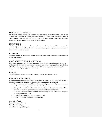# FIRE AND SAFETY DRILLS

Fire drills and other safety drills are practiced on a regular basis. Exit information is posted in each classroom and instructions are given by the teacher in charge. Students should move quickly but in an orderly manner to their designated area. Students must not return to any building until given permission. At least one disaster/tornado/active shooter drill is held each year.

#### FUNDRAISING

All school organizations must have written permission from the administration to sell items on campus. No group or individual may sell any item(s) on campus without approval. Sponsors are responsible for obtaining permission to raise funds.

#### GAMBLING

Gambling is against the law. Students involved in gambling activities may be sent to the hearing board for expulsion proceedings.

#### GANG ACTIVITY AND PARAPHERNALIA

Gang related activity will not be tolerated on campus. Items related to suspected gang activity may be confiscated. This includes, but is not limited to, bandannas and items with gang graffiti or symbols. Gang related behavior may result in recommendation for expulsion. Any suspected gang activity may be anonymously reported to the SRO or an administrator.

#### GRADING

The grading scale is as follows: A=90-100, B=80-89, C=70-79, D=60-69, and F=0-59.

# GUIDANCE DEPARTMENT

Crayton's Guidance Department offers services designed to support the total educational process by addressing specific needs of the student body. The goals of the guidance department are:

- 1. To be available to talk in confidence with students and parents concerning personal or school problems and to utilize appropriate referral services if necessary.
- 2. To help students to understand themselves and to assist them in utilizing their interests and abilities to develop an educational plan that will lead to a successful and satisfying future.
- 3. To set up and supervise the administration of the testing program and to assist students and parents in understanding the test scores.
- 4. To maintain comprehensive and accurate student records.
- 5. To coordinate the student intervention team meetings.

Cheryl Nix- $6<sup>th</sup>$  grade Dr. Amleht Alston –  $7<sup>th</sup>$  grade Donna Moultrie– 8<sup>th</sup> grade Austin Coleman – Special Programs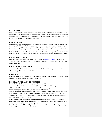# HALL PASSES

Should a student need to be out of class, the teacher will note the destination of the student and the time dismissed on a pass. Students should take the most direct route to and from their destination – otherwise, the student may be cutting class or in an unauthorized area and subject to disciplinary consequences. No student should be out of class without an appropriate pass.

#### HEALTH ROOM

Under the supervision of the school nurse, the health room is accessible on a daily basis for illness or injury occurring at school. Parents should complete a health information form for the nurse at the beginning of the year to note any special mental or physical conditions for their child and update the nurse regarding any changes in these conditions. Parents or guardians will be notified if their child needs to go home or requires further medical evaluation. In the best interests of all students and staff, we request that a student remain at home if he/she is sick. The nurse does not supply medication except as outlined in the medication section.

#### HIGH SCHOOL CREDIT

Please see the Richland One Middle School Course Catalog at www.richlandone.org <Departments <School Counseling Services <Master Course Catalogs <Middle School Course Catalog for information on high school credit.

#### HOMEBOUND INSTRUCTION

Any student who suffers from an extended illness/injury should contact their guidance counselor for information regarding homebound instruction.

#### HOMEWORK

Homework is assigned as a meaningful extension of classroom work. You may email the teacher to obtain homework for students who are absent more than one day.

#### HONORS, AWARDS, AND RECOGNITION

Principal's List: Students that earn a 4.0 grade point average (GPA) in any quarter.

Achievement Honor Roll: Students that earn a GPA between 3.5 and 3.99 in any quarter.

"B" Honor Roll: Students that earn a GPA between 3.00 and 3.49 in any quarter.

Students with a grade of Incomplete (I) are not eligible for these awards.

National Junior Honor Society: Eighth grade students will have an opportunity to apply to be selected to the NJHS at the beginning of their eighth-grade year. Students must have earned a 3.50 or higher cumulative GPA to be considered for induction into this organization. In addition, members are selected based on character and leadership skills.

Middle School Scholars: Eighth grade students must have been enrolled in two gifted and talented classes each year of middle school and maintained a 3.5 grade point average, have no grade below a "C," and have a minimum of four extra-curricular points.

South Carolina Junior Scholar: 8th grade students who score 550 or above on the reading or writing section, or 530 on the math section, of the PSAT.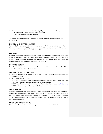The Guidance department has detailed information/eligibility requirements on the following: Duke University Talent Identification Program (TIP)

South Carolina Junior Scholars Program

Through our many other school teams and activities, students may be recognized for a variety of achievements.

#### HONORS AND GIFTED COURSES

Honors and gifted courses are taught with increased rigor and maintain a fast pace. Students are placed into these classes based on qualifying test scores and grades. Administration reserves the right to remove students from honors and gifted courses if the student fails to demonstrate academic success.

#### LOCKERS

If a student desires to utilize a locker, one will be issued to them. Students should keep their lockers locked at all times. Valuables should be left at home. Students should not share lockers or tell their combinations to others. Lockers are school property and may be opened by school officials at any time. Only schoolissued locks may be used on lockers. Personal locks will be cut off.

#### LOST AND FOUND

If a student loses any item, he or she should check the lost and found located in the cafeteria. All unclaimed items will be donated to a charitable organization.

# MEDIA CENTER PROCEDURES

- 1. Reference materials may be checked out at the end of the day. They must be returned the next day before classes begin.
- 2. Copies can be made for 10 cents.
- 3. No student should enter the library unless the Media Specialist is present. Students should have a pass if they want to use the library for a legitimate purpose in the mornings.
- 4. DISCUS is a valuable resource that can be used from home and can be accessed at http://scdiscus.org. DISCUS includes an encyclopedia, magazine database, and other resources.

#### MEDICATIONS

Medications should be given at home if possible. If administered at school, medications must be kept in the Nurse's office. Parental consent and doctor's orders must be documented with the nurse. Medications should be brought to school in the original container. ANY medications found in the possession of a student at school may be confiscated. Any student in the possession of ANY medication may be subject to serious disciplinary consequences.

#### MESSAGES FOR STUDENTS

Classes will not be interrupted to deliver messages to students, except with administrative approval.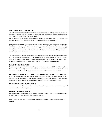# NON-DISCRIMINATION POLICY

The district is required by federal and state laws, executive orders, rules, and regulations not to illegally discriminate on the basis of race, religion, color, disability, sex, age, alienage, national origin, immigrant status or English-speaking status, or marital status.

Further, the board affirms the right of all students and staff to be treated with respect, to have due process, and to be protected from intimidation, discrimination, physical harm and/or harassment.

Harassment/Discriminatory behavior that denies civil rights or access to equal educational opportunities includes comments, name-calling, physical conduct, or other expressive behavior directed at an individual or group that intentionally demeans the race, color, religion, national origin, immigrant status or Englishspeaking status, sex, or disability of the individual or individuals or creates an intimidating, hostile or demeaning environment for education.

The board believes in fostering an educational environment that is safe and free of discrimination for all students, regardless of sex, sexual orientation, gender identity, or gender expression. The board further believes that transgender and gender non-conforming students are entitled to a respectful and inclusive learning environment that supports their access to a free and appropriate public education.

#### PARENT ORGANIZATIONS

Parents are encouraged to be involved at Crayton. We have a very active PTO, Band Booster, School Improvement Council (SIC), and Athletic Booster Club. Contact the main office, check Crayton's website, or visit our Facebook and Twitter pages for more information on how to be involved at Crayton.

#### POSITIVE BEHAVIOR INTERVENTION SYSTEMS (PBIS) EXPECTATIONS

PBIS allows educators to build environments that increase student academic and social behavior success through a systemic and supportive process, using school-wide expectations/rules and effective classroom management. Crayton students are expected to be respectful, responsible, safe, and prepared.

#### POSTERS AND ANNOUNCEMENTS

Anyone who wants to display or distribute posters or flyers of any type must have administrative approval. Announcements must also be approved.

#### PROMOTION STANDARDS

Students must pass Language Arts, Math, Science, and Social Studies or meet the requirements set forth in an IEP (Individualized Education Program) to be promoted.

Failure to pass any core class may result in that student being required to attend summer school or be retained.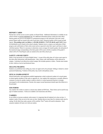# REPORT CARDS

Parents have on-line access to active grades via Parent Portal. Additional information is available on our school website at crayton.richlandone.org. For additional information please contact the main office. Interim grades are given to all students to communicate progress at the mid-point of the nine weeks period. Report cards are issued at the end of each nine weeks. Numerical grades will be issued on both reports. The grading scale is as follows: A=90-100, B=80-89, C=70-79, D=60-69, and F=0-59. Dates for distribution can be found on the school calendar. Students receive a report as an indication of their progress and confirmation of their achievement and are expected to take their report card home to share with their parents. When it is necessary to determine course averages for transfer grades, the mid-point of the numerical range corresponding to the letter grade will be used, with the exception of the grade F, which will be 50. Final Report cards are mailed at the end of the school year.

#### SAFETY AND SECURITY

Safety is the top priority at Crayton Middle School. As part of the safety plan, all visitors must report to the main office and present valid identification. Only visitors with valid business will be allowed on campus. Loitering is not allowed on school campus; this includes parents or others. Parents must remain in their vehicles at arrival and dismissal times.

#### SELLING/TRADING

Students are prohibited from selling any items not approved by the principal. Selling is limited to school sponsored fundraising. Violation of this policy may result in disciplinary action.

#### SEXUAL HARRASSMENT

School board policy and regulations prohibit inappropriate verbal or physical conduct of a sexual nature at school against members of the same or opposite sex. Any student who experiences a sexually offensive comment or action by another student or adult at school or a school-sponsored function is strongly encouraged to tell an administrator. Parents who suspect sexual harassment should report this behavior to the principal.

#### SOS FORMS

Any student who wishes to express a concern may submit an SOS form. These forms can be used for any type of student assistance. Forms are available in all classrooms and offices.

#### **TARDIES**

In our efforts to increase academic achievement, it is important that all students be in class on time. A student is tardy if they are not in the room on time. Students that are more than five minutes tardy may be cutting. On the third class tardy, parents will be notified. The 4<sup>th</sup> tardy will result in detention. Each semester students will start over with zero tardies.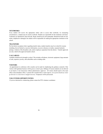# **TEXTBOOKS**

Every student will receive the appropriate online code to access their textbooks. In extenuating circumstances, a student may be issued a textbook. Students are responsible for the textbooks at all times. Textbooks are identified by their barcode. Books should not be left unattended. Should the books be lost, stolen, misplaced or damaged, the student will be responsible for making the appropriate restitution to the school.

#### TRANSFERS

Per the district acceptance letter regarding transfer status, student transfers may be revoked for reasons including, but not limited to, incorrect information, excessive absences or tardies, repeated untimely pickups, violation of the discipline code, and/or employee separation from the district. Transfer approvals are only valid for the approved transfer school.

#### VALUABLES

Valuables should not be brought to school. This includes cell phones, electronic equipment, large amounts of cash, expensive jewelry, and collectibles such as trading cards.

#### VISITORS

 An appointment to conference with a teacher can be made by telephoning the guidance counselor. Only visitors with legitimate business will be given a visitor's pass. Siblings of Crayton students are not allowed to eat lunch or visit classrooms without administrative approval. All visitors should report to the main office or the attendance office. A picture ID is needed when a visitor signs in. At no point should any visitor go directly to a classroom or unapproved area. Trespassers will be prosecuted.

# VOLUNTEER OPPORTUNITIES

If you are interested in volunteering, please contact the PTO volunteer coordinator.